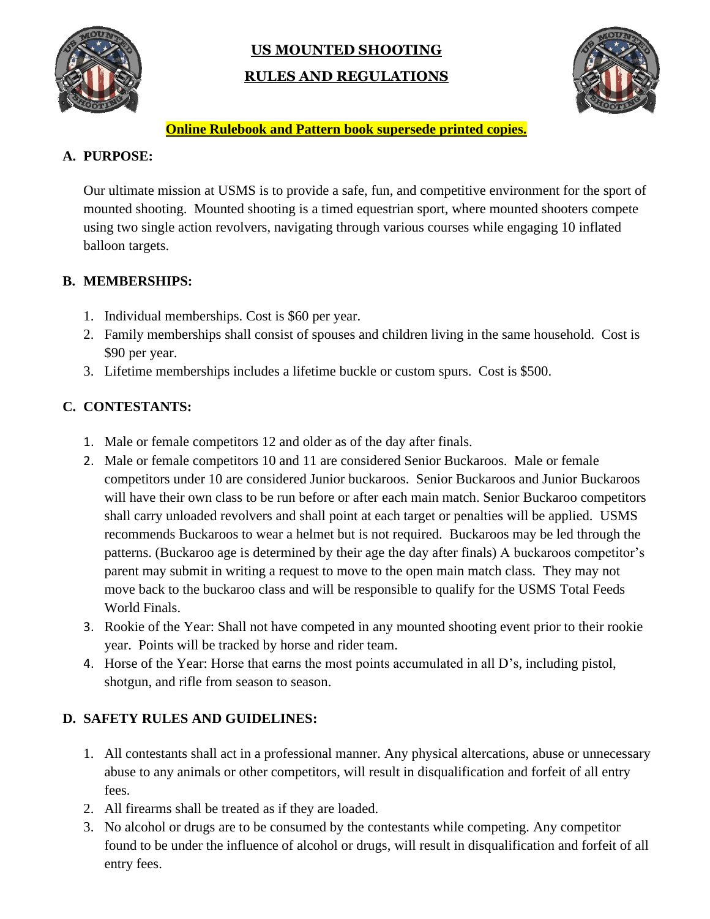

# **US MOUNTED SHOOTING RULES AND REGULATIONS**



### **Online Rulebook and Pattern book supersede printed copies.**

# **A. PURPOSE:**

Our ultimate mission at USMS is to provide a safe, fun, and competitive environment for the sport of mounted shooting. Mounted shooting is a timed equestrian sport, where mounted shooters compete using two single action revolvers, navigating through various courses while engaging 10 inflated balloon targets.

# **B. MEMBERSHIPS:**

- 1. Individual memberships. Cost is \$60 per year.
- 2. Family memberships shall consist of spouses and children living in the same household. Cost is \$90 per year.
- 3. Lifetime memberships includes a lifetime buckle or custom spurs. Cost is \$500.

# **C. CONTESTANTS:**

- 1. Male or female competitors 12 and older as of the day after finals.
- 2. Male or female competitors 10 and 11 are considered Senior Buckaroos. Male or female competitors under 10 are considered Junior buckaroos. Senior Buckaroos and Junior Buckaroos will have their own class to be run before or after each main match. Senior Buckaroo competitors shall carry unloaded revolvers and shall point at each target or penalties will be applied. USMS recommends Buckaroos to wear a helmet but is not required. Buckaroos may be led through the patterns. (Buckaroo age is determined by their age the day after finals) A buckaroos competitor's parent may submit in writing a request to move to the open main match class. They may not move back to the buckaroo class and will be responsible to qualify for the USMS Total Feeds World Finals.
- 3. Rookie of the Year: Shall not have competed in any mounted shooting event prior to their rookie year. Points will be tracked by horse and rider team.
- 4. Horse of the Year: Horse that earns the most points accumulated in all D's, including pistol, shotgun, and rifle from season to season.

# **D. SAFETY RULES AND GUIDELINES:**

- 1. All contestants shall act in a professional manner. Any physical altercations, abuse or unnecessary abuse to any animals or other competitors, will result in disqualification and forfeit of all entry fees.
- 2. All firearms shall be treated as if they are loaded.
- 3. No alcohol or drugs are to be consumed by the contestants while competing. Any competitor found to be under the influence of alcohol or drugs, will result in disqualification and forfeit of all entry fees.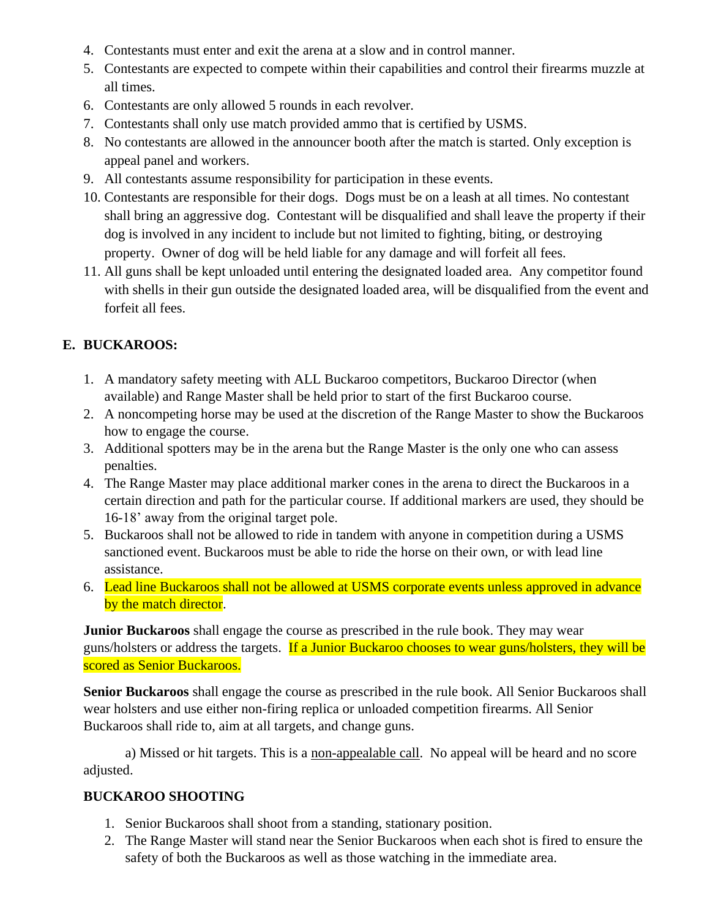- 4. Contestants must enter and exit the arena at a slow and in control manner.
- 5. Contestants are expected to compete within their capabilities and control their firearms muzzle at all times.
- 6. Contestants are only allowed 5 rounds in each revolver.
- 7. Contestants shall only use match provided ammo that is certified by USMS.
- 8. No contestants are allowed in the announcer booth after the match is started. Only exception is appeal panel and workers.
- 9. All contestants assume responsibility for participation in these events.
- 10. Contestants are responsible for their dogs. Dogs must be on a leash at all times. No contestant shall bring an aggressive dog. Contestant will be disqualified and shall leave the property if their dog is involved in any incident to include but not limited to fighting, biting, or destroying property. Owner of dog will be held liable for any damage and will forfeit all fees.
- 11. All guns shall be kept unloaded until entering the designated loaded area. Any competitor found with shells in their gun outside the designated loaded area, will be disqualified from the event and forfeit all fees.

# **E. BUCKAROOS:**

- 1. A mandatory safety meeting with ALL Buckaroo competitors, Buckaroo Director (when available) and Range Master shall be held prior to start of the first Buckaroo course.
- 2. A noncompeting horse may be used at the discretion of the Range Master to show the Buckaroos how to engage the course.
- 3. Additional spotters may be in the arena but the Range Master is the only one who can assess penalties.
- 4. The Range Master may place additional marker cones in the arena to direct the Buckaroos in a certain direction and path for the particular course. If additional markers are used, they should be 16-18' away from the original target pole.
- 5. Buckaroos shall not be allowed to ride in tandem with anyone in competition during a USMS sanctioned event. Buckaroos must be able to ride the horse on their own, or with lead line assistance.
- 6. Lead line Buckaroos shall not be allowed at USMS corporate events unless approved in advance by the match director.

**Junior Buckaroos** shall engage the course as prescribed in the rule book. They may wear guns/holsters or address the targets. If a Junior Buckaroo chooses to wear guns/holsters, they will be scored as Senior Buckaroos.

**Senior Buckaroos** shall engage the course as prescribed in the rule book. All Senior Buckaroos shall wear holsters and use either non-firing replica or unloaded competition firearms. All Senior Buckaroos shall ride to, aim at all targets, and change guns.

a) Missed or hit targets. This is a non-appealable call. No appeal will be heard and no score adjusted.

# **BUCKAROO SHOOTING**

- 1. Senior Buckaroos shall shoot from a standing, stationary position.
- 2. The Range Master will stand near the Senior Buckaroos when each shot is fired to ensure the safety of both the Buckaroos as well as those watching in the immediate area.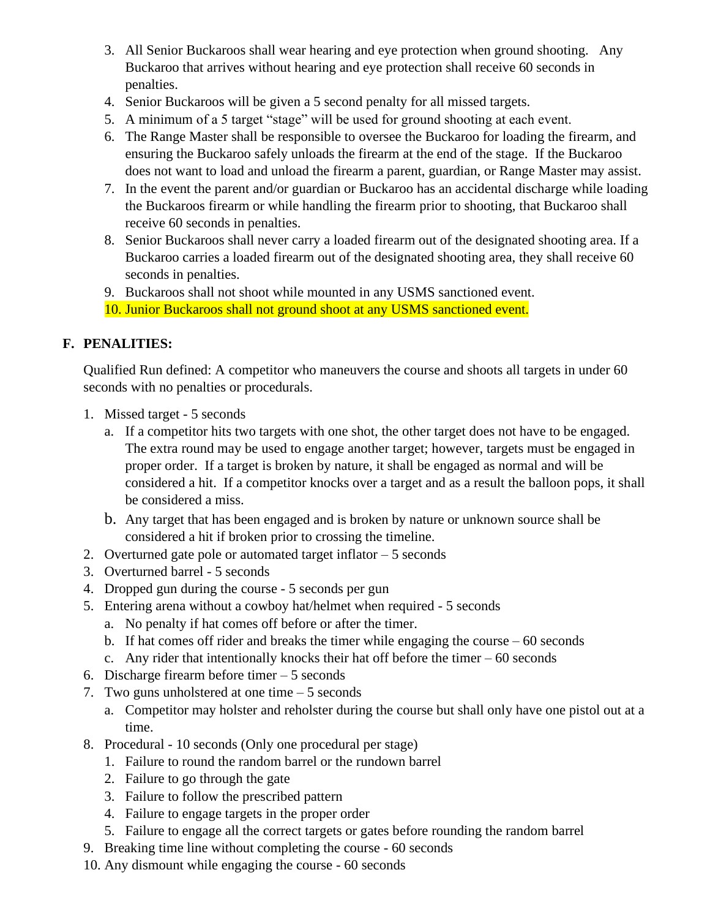- 3. All Senior Buckaroos shall wear hearing and eye protection when ground shooting. Any Buckaroo that arrives without hearing and eye protection shall receive 60 seconds in penalties.
- 4. Senior Buckaroos will be given a 5 second penalty for all missed targets.
- 5. A minimum of a 5 target "stage" will be used for ground shooting at each event.
- 6. The Range Master shall be responsible to oversee the Buckaroo for loading the firearm, and ensuring the Buckaroo safely unloads the firearm at the end of the stage. If the Buckaroo does not want to load and unload the firearm a parent, guardian, or Range Master may assist.
- 7. In the event the parent and/or guardian or Buckaroo has an accidental discharge while loading the Buckaroos firearm or while handling the firearm prior to shooting, that Buckaroo shall receive 60 seconds in penalties.
- 8. Senior Buckaroos shall never carry a loaded firearm out of the designated shooting area. If a Buckaroo carries a loaded firearm out of the designated shooting area, they shall receive 60 seconds in penalties.
- 9. Buckaroos shall not shoot while mounted in any USMS sanctioned event. 10. Junior Buckaroos shall not ground shoot at any USMS sanctioned event.

# **F. PENALITIES:**

Qualified Run defined: A competitor who maneuvers the course and shoots all targets in under 60 seconds with no penalties or procedurals.

- 1. Missed target 5 seconds
	- a. If a competitor hits two targets with one shot, the other target does not have to be engaged. The extra round may be used to engage another target; however, targets must be engaged in proper order. If a target is broken by nature, it shall be engaged as normal and will be considered a hit. If a competitor knocks over a target and as a result the balloon pops, it shall be considered a miss.
	- b. Any target that has been engaged and is broken by nature or unknown source shall be considered a hit if broken prior to crossing the timeline.
- 2. Overturned gate pole or automated target inflator 5 seconds
- 3. Overturned barrel 5 seconds
- 4. Dropped gun during the course 5 seconds per gun
- 5. Entering arena without a cowboy hat/helmet when required 5 seconds
	- a. No penalty if hat comes off before or after the timer.
	- b. If hat comes off rider and breaks the timer while engaging the course 60 seconds
	- c. Any rider that intentionally knocks their hat off before the timer  $-60$  seconds
- 6. Discharge firearm before timer 5 seconds
- 7. Two guns unholstered at one time 5 seconds
	- a. Competitor may holster and reholster during the course but shall only have one pistol out at a time.
- 8. Procedural 10 seconds (Only one procedural per stage)
	- 1. Failure to round the random barrel or the rundown barrel
	- 2. Failure to go through the gate
	- 3. Failure to follow the prescribed pattern
	- 4. Failure to engage targets in the proper order
	- 5. Failure to engage all the correct targets or gates before rounding the random barrel
- 9. Breaking time line without completing the course 60 seconds
- 10. Any dismount while engaging the course 60 seconds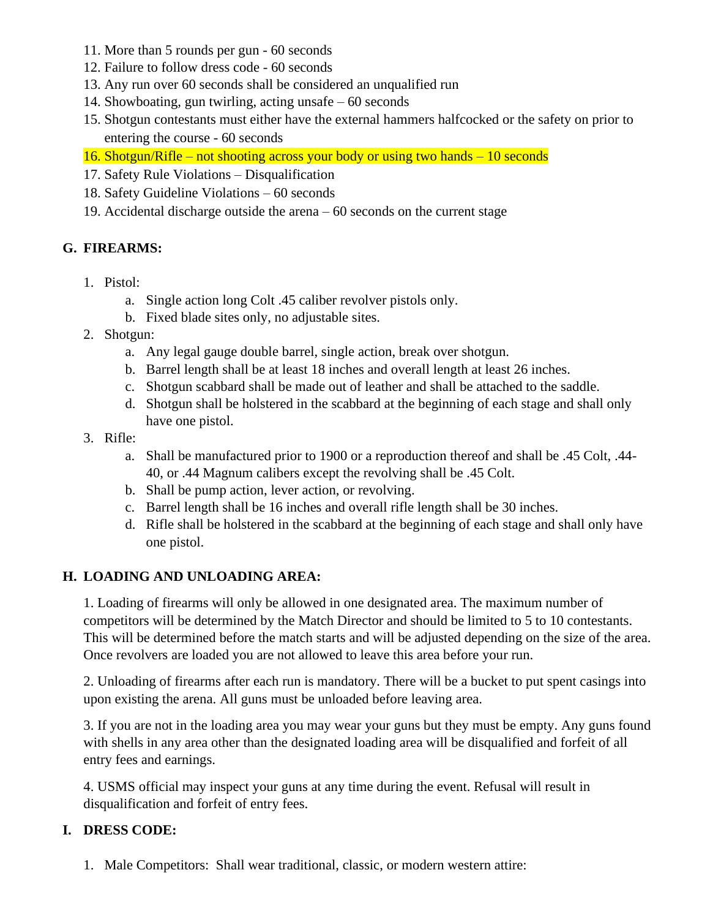- 11. More than 5 rounds per gun 60 seconds
- 12. Failure to follow dress code 60 seconds
- 13. Any run over 60 seconds shall be considered an unqualified run
- 14. Showboating, gun twirling, acting unsafe 60 seconds
- 15. Shotgun contestants must either have the external hammers halfcocked or the safety on prior to entering the course - 60 seconds

16. Shotgun/Rifle – not shooting across your body or using two hands – 10 seconds

- 17. Safety Rule Violations Disqualification
- 18. Safety Guideline Violations 60 seconds

19. Accidental discharge outside the arena – 60 seconds on the current stage

### **G. FIREARMS:**

- 1. Pistol:
	- a. Single action long Colt .45 caliber revolver pistols only.
	- b. Fixed blade sites only, no adjustable sites.
- 2. Shotgun:
	- a. Any legal gauge double barrel, single action, break over shotgun.
	- b. Barrel length shall be at least 18 inches and overall length at least 26 inches.
	- c. Shotgun scabbard shall be made out of leather and shall be attached to the saddle.
	- d. Shotgun shall be holstered in the scabbard at the beginning of each stage and shall only have one pistol.
- 3. Rifle:
	- a. Shall be manufactured prior to 1900 or a reproduction thereof and shall be .45 Colt, .44- 40, or .44 Magnum calibers except the revolving shall be .45 Colt.
	- b. Shall be pump action, lever action, or revolving.
	- c. Barrel length shall be 16 inches and overall rifle length shall be 30 inches.
	- d. Rifle shall be holstered in the scabbard at the beginning of each stage and shall only have one pistol.

# **H. LOADING AND UNLOADING AREA:**

1. Loading of firearms will only be allowed in one designated area. The maximum number of competitors will be determined by the Match Director and should be limited to 5 to 10 contestants. This will be determined before the match starts and will be adjusted depending on the size of the area. Once revolvers are loaded you are not allowed to leave this area before your run.

2. Unloading of firearms after each run is mandatory. There will be a bucket to put spent casings into upon existing the arena. All guns must be unloaded before leaving area.

3. If you are not in the loading area you may wear your guns but they must be empty. Any guns found with shells in any area other than the designated loading area will be disqualified and forfeit of all entry fees and earnings.

4. USMS official may inspect your guns at any time during the event. Refusal will result in disqualification and forfeit of entry fees.

# **I. DRESS CODE:**

1. Male Competitors: Shall wear traditional, classic, or modern western attire: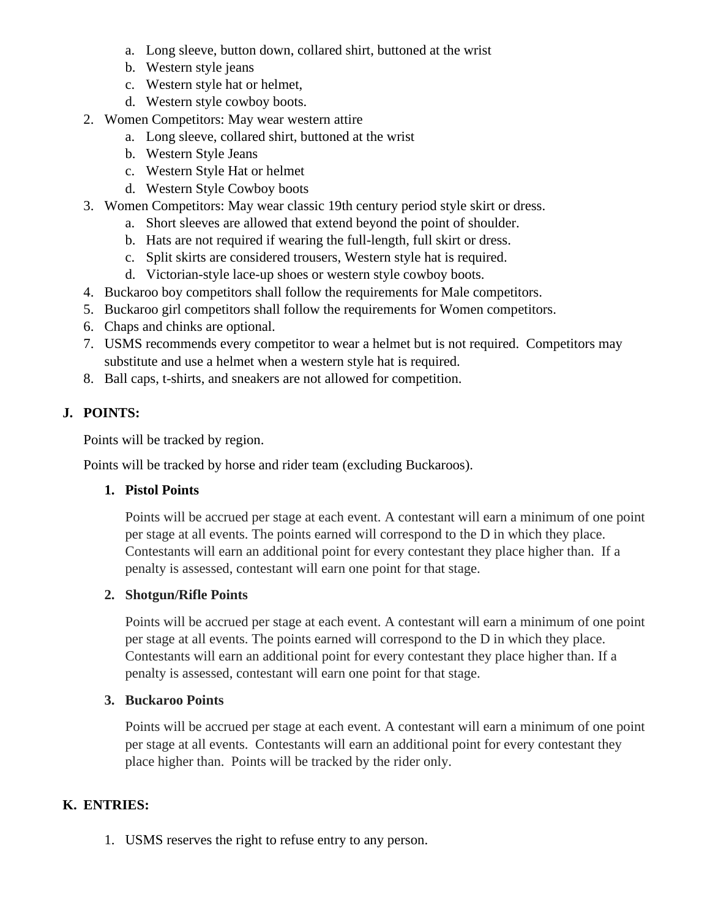- a. Long sleeve, button down, collared shirt, buttoned at the wrist
- b. Western style jeans
- c. Western style hat or helmet,
- d. Western style cowboy boots.
- 2. Women Competitors: May wear western attire
	- a. Long sleeve, collared shirt, buttoned at the wrist
	- b. Western Style Jeans
	- c. Western Style Hat or helmet
	- d. Western Style Cowboy boots
- 3. Women Competitors: May wear classic 19th century period style skirt or dress.
	- a. Short sleeves are allowed that extend beyond the point of shoulder.
	- b. Hats are not required if wearing the full-length, full skirt or dress.
	- c. Split skirts are considered trousers, Western style hat is required.
	- d. Victorian-style lace-up shoes or western style cowboy boots.
- 4. Buckaroo boy competitors shall follow the requirements for Male competitors.
- 5. Buckaroo girl competitors shall follow the requirements for Women competitors.
- 6. Chaps and chinks are optional.
- 7. USMS recommends every competitor to wear a helmet but is not required. Competitors may substitute and use a helmet when a western style hat is required.
- 8. Ball caps, t-shirts, and sneakers are not allowed for competition.

# **J. POINTS:**

Points will be tracked by region.

Points will be tracked by horse and rider team (excluding Buckaroos).

#### **1. Pistol Points**

Points will be accrued per stage at each event. A contestant will earn a minimum of one point per stage at all events. The points earned will correspond to the D in which they place. Contestants will earn an additional point for every contestant they place higher than. If a penalty is assessed, contestant will earn one point for that stage.

#### **2. Shotgun/Rifle Points**

Points will be accrued per stage at each event. A contestant will earn a minimum of one point per stage at all events. The points earned will correspond to the D in which they place. Contestants will earn an additional point for every contestant they place higher than. If a penalty is assessed, contestant will earn one point for that stage.

#### **3. Buckaroo Points**

Points will be accrued per stage at each event. A contestant will earn a minimum of one point per stage at all events. Contestants will earn an additional point for every contestant they place higher than. Points will be tracked by the rider only.

# **K. ENTRIES:**

1. USMS reserves the right to refuse entry to any person.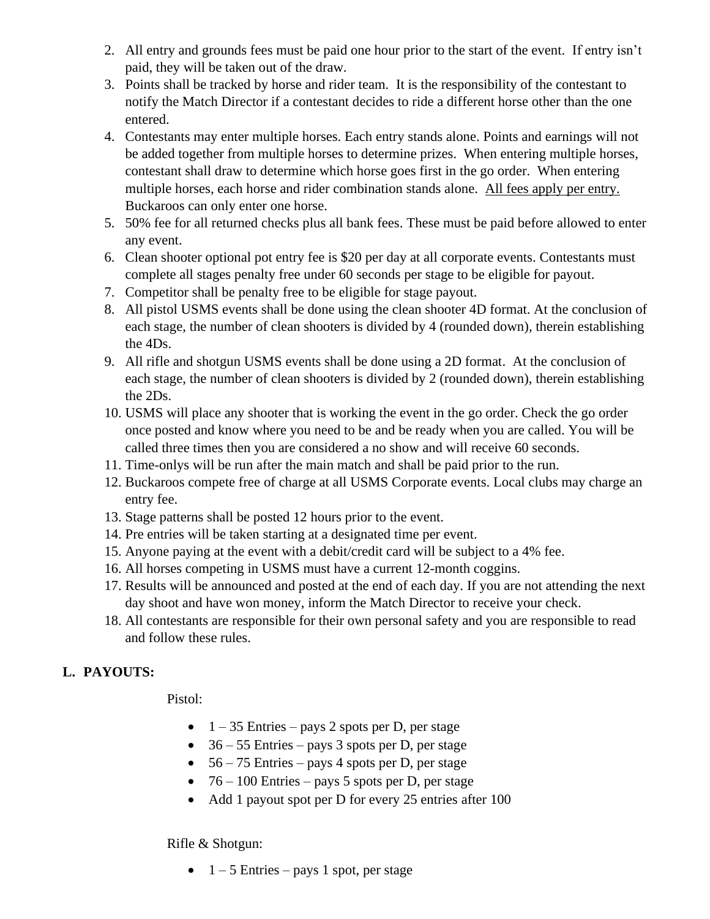- 2. All entry and grounds fees must be paid one hour prior to the start of the event. If entry isn't paid, they will be taken out of the draw.
- 3. Points shall be tracked by horse and rider team. It is the responsibility of the contestant to notify the Match Director if a contestant decides to ride a different horse other than the one entered.
- 4. Contestants may enter multiple horses. Each entry stands alone. Points and earnings will not be added together from multiple horses to determine prizes. When entering multiple horses, contestant shall draw to determine which horse goes first in the go order. When entering multiple horses, each horse and rider combination stands alone. All fees apply per entry. Buckaroos can only enter one horse.
- 5. 50% fee for all returned checks plus all bank fees. These must be paid before allowed to enter any event.
- 6. Clean shooter optional pot entry fee is \$20 per day at all corporate events. Contestants must complete all stages penalty free under 60 seconds per stage to be eligible for payout.
- 7. Competitor shall be penalty free to be eligible for stage payout.
- 8. All pistol USMS events shall be done using the clean shooter 4D format. At the conclusion of each stage, the number of clean shooters is divided by 4 (rounded down), therein establishing the 4Ds.
- 9. All rifle and shotgun USMS events shall be done using a 2D format. At the conclusion of each stage, the number of clean shooters is divided by 2 (rounded down), therein establishing the 2Ds.
- 10. USMS will place any shooter that is working the event in the go order. Check the go order once posted and know where you need to be and be ready when you are called. You will be called three times then you are considered a no show and will receive 60 seconds.
- 11. Time-onlys will be run after the main match and shall be paid prior to the run.
- 12. Buckaroos compete free of charge at all USMS Corporate events. Local clubs may charge an entry fee.
- 13. Stage patterns shall be posted 12 hours prior to the event.
- 14. Pre entries will be taken starting at a designated time per event.
- 15. Anyone paying at the event with a debit/credit card will be subject to a 4% fee.
- 16. All horses competing in USMS must have a current 12-month coggins.
- 17. Results will be announced and posted at the end of each day. If you are not attending the next day shoot and have won money, inform the Match Director to receive your check.
- 18. All contestants are responsible for their own personal safety and you are responsible to read and follow these rules.

# **L. PAYOUTS:**

Pistol:

- $1 35$  Entries pays 2 spots per D, per stage
- $36 55$  Entries pays 3 spots per D, per stage
- $56 75$  Entries pays 4 spots per D, per stage
- $76 100$  Entries pays 5 spots per D, per stage
- Add 1 payout spot per D for every 25 entries after 100

#### Rifle & Shotgun:

•  $1 - 5$  Entries – pays 1 spot, per stage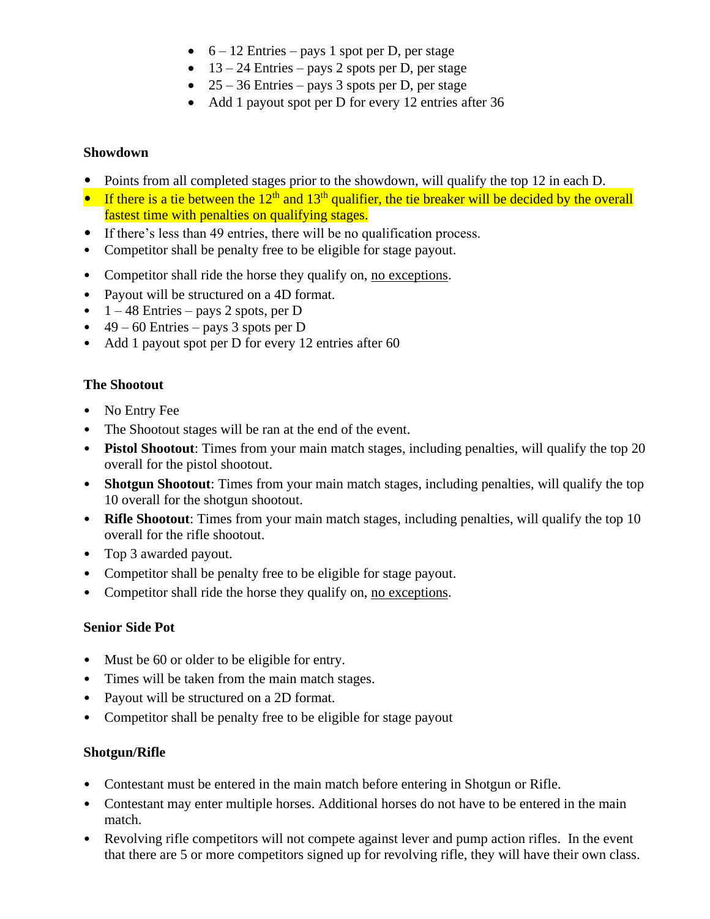- $6 12$  Entries pays 1 spot per D, per stage
- $13 24$  Entries pays 2 spots per D, per stage
- 25 36 Entries pays 3 spots per D, per stage
- Add 1 payout spot per D for every 12 entries after 36

#### **Showdown**

- Points from all completed stages prior to the showdown, will qualify the top 12 in each D.
- If there is a tie between the  $12<sup>th</sup>$  and  $13<sup>th</sup>$  qualifier, the tie breaker will be decided by the overall fastest time with penalties on qualifying stages.
- If there's less than 49 entries, there will be no qualification process.
- Competitor shall be penalty free to be eligible for stage payout.
- Competitor shall ride the horse they qualify on, no exceptions.
- Payout will be structured on a 4D format.
- $1 48$  Entries pays 2 spots, per D
- $49 60$  Entries pays 3 spots per D
- Add 1 payout spot per D for every 12 entries after 60

### **The Shootout**

- No Entry Fee
- The Shootout stages will be ran at the end of the event.
- **Pistol Shootout**: Times from your main match stages, including penalties, will qualify the top 20 overall for the pistol shootout.
- **Shotgun Shootout:** Times from your main match stages, including penalties, will qualify the top 10 overall for the shotgun shootout.
- **Rifle Shootout**: Times from your main match stages, including penalties, will qualify the top 10 overall for the rifle shootout.
- Top 3 awarded payout.
- Competitor shall be penalty free to be eligible for stage payout.
- Competitor shall ride the horse they qualify on, no exceptions.

#### **Senior Side Pot**

- Must be 60 or older to be eligible for entry.
- Times will be taken from the main match stages.
- Payout will be structured on a 2D format.
- Competitor shall be penalty free to be eligible for stage payout

# **Shotgun/Rifle**

- Contestant must be entered in the main match before entering in Shotgun or Rifle.
- Contestant may enter multiple horses. Additional horses do not have to be entered in the main match.
- Revolving rifle competitors will not compete against lever and pump action rifles. In the event that there are 5 or more competitors signed up for revolving rifle, they will have their own class.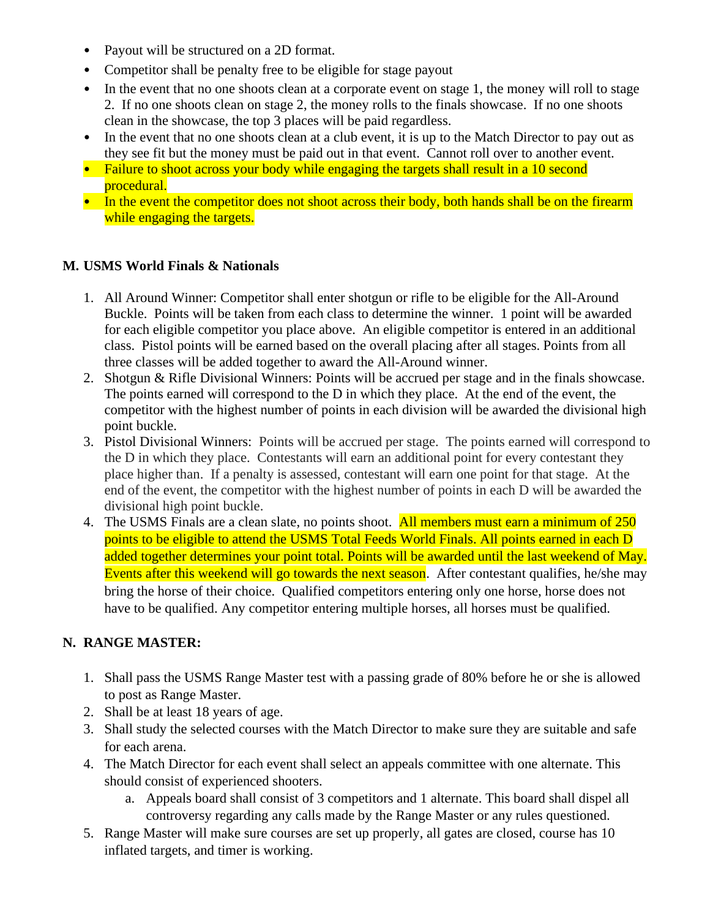- Payout will be structured on a 2D format.
- Competitor shall be penalty free to be eligible for stage payout
- In the event that no one shoots clean at a corporate event on stage 1, the money will roll to stage 2. If no one shoots clean on stage 2, the money rolls to the finals showcase. If no one shoots clean in the showcase, the top 3 places will be paid regardless.
- In the event that no one shoots clean at a club event, it is up to the Match Director to pay out as they see fit but the money must be paid out in that event. Cannot roll over to another event.
- Failure to shoot across your body while engaging the targets shall result in a 10 second procedural.
- In the event the competitor does not shoot across their body, both hands shall be on the firearm while engaging the targets.

### **M. USMS World Finals & Nationals**

- 1. All Around Winner: Competitor shall enter shotgun or rifle to be eligible for the All-Around Buckle. Points will be taken from each class to determine the winner. 1 point will be awarded for each eligible competitor you place above. An eligible competitor is entered in an additional class. Pistol points will be earned based on the overall placing after all stages. Points from all three classes will be added together to award the All-Around winner.
- 2. Shotgun & Rifle Divisional Winners: Points will be accrued per stage and in the finals showcase. The points earned will correspond to the D in which they place. At the end of the event, the competitor with the highest number of points in each division will be awarded the divisional high point buckle.
- 3. Pistol Divisional Winners: Points will be accrued per stage. The points earned will correspond to the D in which they place. Contestants will earn an additional point for every contestant they place higher than. If a penalty is assessed, contestant will earn one point for that stage. At the end of the event, the competitor with the highest number of points in each D will be awarded the divisional high point buckle.
- 4. The USMS Finals are a clean slate, no points shoot. All members must earn a minimum of 250 points to be eligible to attend the USMS Total Feeds World Finals. All points earned in each D added together determines your point total. Points will be awarded until the last weekend of May. Events after this weekend will go towards the next season. After contestant qualifies, he/she may bring the horse of their choice. Qualified competitors entering only one horse, horse does not have to be qualified. Any competitor entering multiple horses, all horses must be qualified.

# **N. RANGE MASTER:**

- 1. Shall pass the USMS Range Master test with a passing grade of 80% before he or she is allowed to post as Range Master.
- 2. Shall be at least 18 years of age.
- 3. Shall study the selected courses with the Match Director to make sure they are suitable and safe for each arena.
- 4. The Match Director for each event shall select an appeals committee with one alternate. This should consist of experienced shooters.
	- a. Appeals board shall consist of 3 competitors and 1 alternate. This board shall dispel all controversy regarding any calls made by the Range Master or any rules questioned.
- 5. Range Master will make sure courses are set up properly, all gates are closed, course has 10 inflated targets, and timer is working.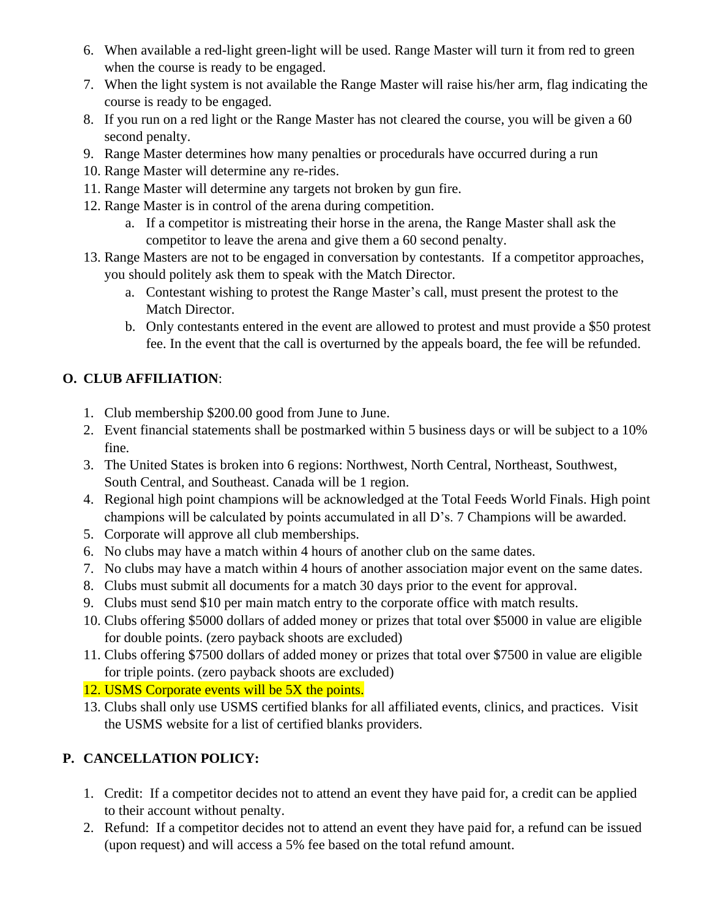- 6. When available a red-light green-light will be used. Range Master will turn it from red to green when the course is ready to be engaged.
- 7. When the light system is not available the Range Master will raise his/her arm, flag indicating the course is ready to be engaged.
- 8. If you run on a red light or the Range Master has not cleared the course, you will be given a 60 second penalty.
- 9. Range Master determines how many penalties or procedurals have occurred during a run
- 10. Range Master will determine any re-rides.
- 11. Range Master will determine any targets not broken by gun fire.
- 12. Range Master is in control of the arena during competition.
	- a. If a competitor is mistreating their horse in the arena, the Range Master shall ask the competitor to leave the arena and give them a 60 second penalty.
- 13. Range Masters are not to be engaged in conversation by contestants. If a competitor approaches, you should politely ask them to speak with the Match Director.
	- a. Contestant wishing to protest the Range Master's call, must present the protest to the Match Director.
	- b. Only contestants entered in the event are allowed to protest and must provide a \$50 protest fee. In the event that the call is overturned by the appeals board, the fee will be refunded.

# **O. CLUB AFFILIATION**:

- 1. Club membership \$200.00 good from June to June.
- 2. Event financial statements shall be postmarked within 5 business days or will be subject to a 10% fine.
- 3. The United States is broken into 6 regions: Northwest, North Central, Northeast, Southwest, South Central, and Southeast. Canada will be 1 region.
- 4. Regional high point champions will be acknowledged at the Total Feeds World Finals. High point champions will be calculated by points accumulated in all D's. 7 Champions will be awarded.
- 5. Corporate will approve all club memberships.
- 6. No clubs may have a match within 4 hours of another club on the same dates.
- 7. No clubs may have a match within 4 hours of another association major event on the same dates.
- 8. Clubs must submit all documents for a match 30 days prior to the event for approval.
- 9. Clubs must send \$10 per main match entry to the corporate office with match results.
- 10. Clubs offering \$5000 dollars of added money or prizes that total over \$5000 in value are eligible for double points. (zero payback shoots are excluded)
- 11. Clubs offering \$7500 dollars of added money or prizes that total over \$7500 in value are eligible for triple points. (zero payback shoots are excluded)

# 12. USMS Corporate events will be 5X the points.

13. Clubs shall only use USMS certified blanks for all affiliated events, clinics, and practices. Visit the USMS website for a list of certified blanks providers.

# **P. CANCELLATION POLICY:**

- 1. Credit: If a competitor decides not to attend an event they have paid for, a credit can be applied to their account without penalty.
- 2. Refund: If a competitor decides not to attend an event they have paid for, a refund can be issued (upon request) and will access a 5% fee based on the total refund amount.